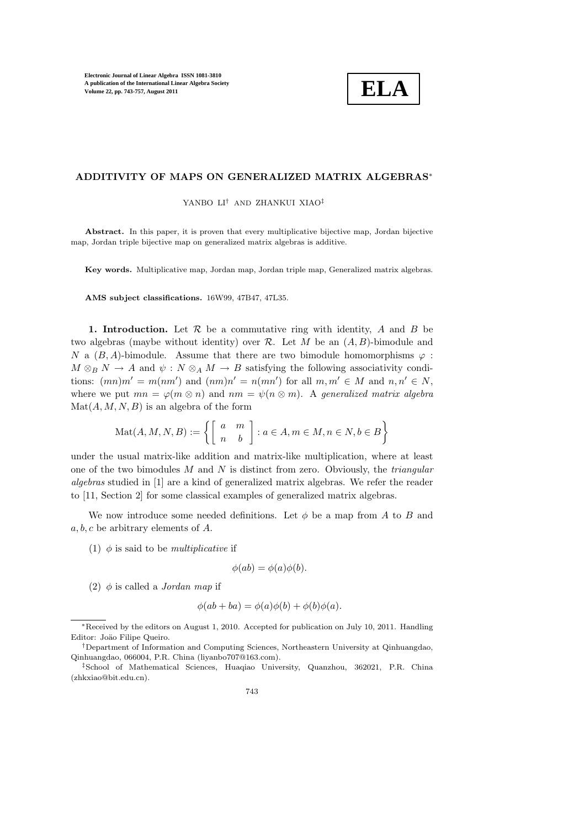

## ADDITIVITY OF MAPS ON GENERALIZED MATRIX ALGEBRAS<sup>∗</sup>

YANBO LI† AND ZHANKUI XIAO‡

Abstract. In this paper, it is proven that every multiplicative bijective map, Jordan bijective map, Jordan triple bijective map on generalized matrix algebras is additive.

Key words. Multiplicative map, Jordan map, Jordan triple map, Generalized matrix algebras.

AMS subject classifications. 16W99, 47B47, 47L35.

1. Introduction. Let  $R$  be a commutative ring with identity,  $A$  and  $B$  be two algebras (maybe without identity) over R. Let M be an  $(A, B)$ -bimodule and N a  $(B, A)$ -bimodule. Assume that there are two bimodule homomorphisms  $\varphi$ :  $M \otimes_B N \to A$  and  $\psi : N \otimes_A M \to B$  satisfying the following associativity conditions:  $(mn)m' = m(nm')$  and  $(nm)n' = n(mn')$  for all  $m, m' \in M$  and  $n, n' \in N$ , where we put  $mn = \varphi(m \otimes n)$  and  $nm = \psi(n \otimes m)$ . A generalized matrix algebra  $\text{Mat}(A, M, N, B)$  is an algebra of the form

$$
\text{Mat}(A, M, N, B) := \left\{ \left[ \begin{array}{cc} a & m \\ n & b \end{array} \right] : a \in A, m \in M, n \in N, b \in B \right\}
$$

under the usual matrix-like addition and matrix-like multiplication, where at least one of the two bimodules  $M$  and  $N$  is distinct from zero. Obviously, the *triangular* algebras studied in [1] are a kind of generalized matrix algebras. We refer the reader to [11, Section 2] for some classical examples of generalized matrix algebras.

We now introduce some needed definitions. Let  $\phi$  be a map from A to B and  $a, b, c$  be arbitrary elements of  $A$ .

(1)  $\phi$  is said to be *multiplicative* if

$$
\phi(ab) = \phi(a)\phi(b).
$$

(2)  $\phi$  is called a *Jordan map* if

$$
\phi(ab + ba) = \phi(a)\phi(b) + \phi(b)\phi(a).
$$

<sup>∗</sup>Received by the editors on August 1, 2010. Accepted for publication on July 10, 2011. Handling Editor: Joäo Filipe Queiro.

<sup>†</sup>Department of Information and Computing Sciences, Northeastern University at Qinhuangdao, Qinhuangdao, 066004, P.R. China (liyanbo707@163.com).

<sup>‡</sup>School of Mathematical Sciences, Huaqiao University, Quanzhou, 362021, P.R. China (zhkxiao@bit.edu.cn).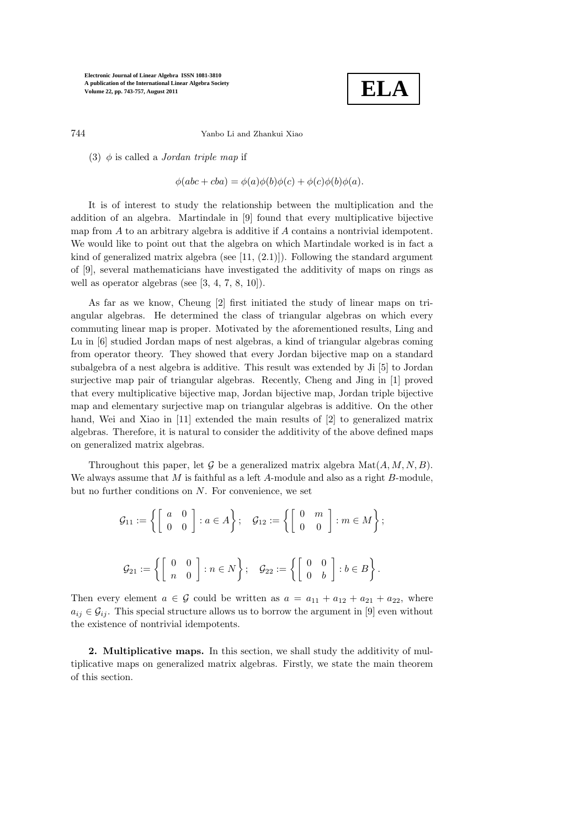

744 Yanbo Li and Zhankui Xiao

(3)  $\phi$  is called a *Jordan triple map* if

$$
\phi(abc + cba) = \phi(a)\phi(b)\phi(c) + \phi(c)\phi(b)\phi(a).
$$

It is of interest to study the relationship between the multiplication and the addition of an algebra. Martindale in [9] found that every multiplicative bijective map from A to an arbitrary algebra is additive if A contains a nontrivial idempotent. We would like to point out that the algebra on which Martindale worked is in fact a kind of generalized matrix algebra (see  $[11, (2.1)]$ ). Following the standard argument of [9], several mathematicians have investigated the additivity of maps on rings as well as operator algebras (see [3, 4, 7, 8, 10]).

As far as we know, Cheung [2] first initiated the study of linear maps on triangular algebras. He determined the class of triangular algebras on which every commuting linear map is proper. Motivated by the aforementioned results, Ling and Lu in [6] studied Jordan maps of nest algebras, a kind of triangular algebras coming from operator theory. They showed that every Jordan bijective map on a standard subalgebra of a nest algebra is additive. This result was extended by Ji [5] to Jordan surjective map pair of triangular algebras. Recently, Cheng and Jing in [1] proved that every multiplicative bijective map, Jordan bijective map, Jordan triple bijective map and elementary surjective map on triangular algebras is additive. On the other hand, Wei and Xiao in [11] extended the main results of [2] to generalized matrix algebras. Therefore, it is natural to consider the additivity of the above defined maps on generalized matrix algebras.

Throughout this paper, let G be a generalized matrix algebra  $\text{Mat}(A, M, N, B)$ . We always assume that  $M$  is faithful as a left  $A$ -module and also as a right  $B$ -module, but no further conditions on  $N$ . For convenience, we set

$$
\mathcal{G}_{11} := \left\{ \begin{bmatrix} a & 0 \\ 0 & 0 \end{bmatrix} : a \in A \right\}; \quad \mathcal{G}_{12} := \left\{ \begin{bmatrix} 0 & m \\ 0 & 0 \end{bmatrix} : m \in M \right\};
$$

$$
\mathcal{G}_{21} := \left\{ \begin{bmatrix} 0 & 0 \\ n & 0 \end{bmatrix} : n \in N \right\}; \quad \mathcal{G}_{22} := \left\{ \begin{bmatrix} 0 & 0 \\ 0 & b \end{bmatrix} : b \in B \right\}.
$$

Then every element  $a \in \mathcal{G}$  could be written as  $a = a_{11} + a_{12} + a_{21} + a_{22}$ , where  $a_{ij} \in \mathcal{G}_{ij}$ . This special structure allows us to borrow the argument in [9] even without the existence of nontrivial idempotents.

2. Multiplicative maps. In this section, we shall study the additivity of multiplicative maps on generalized matrix algebras. Firstly, we state the main theorem of this section.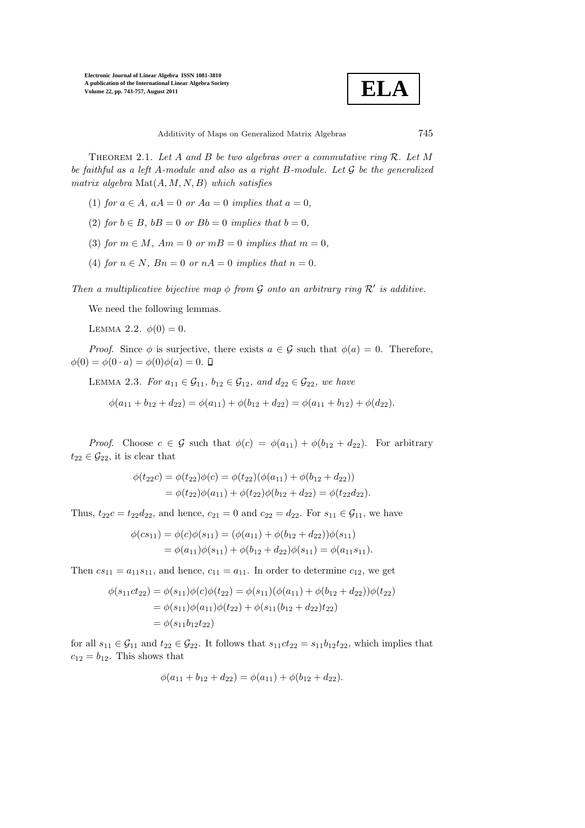

THEOREM 2.1. Let A and B be two algebras over a commutative ring  $\mathcal{R}$ . Let M be faithful as a left A-module and also as a right B-module. Let G be the generalized matrix algebra  $\text{Mat}(A, M, N, B)$  which satisfies

- (1) for  $a \in A$ ,  $aA = 0$  or  $Aa = 0$  implies that  $a = 0$ ,
- (2) for  $b \in B$ ,  $bB = 0$  or  $Bb = 0$  implies that  $b = 0$ .
- (3) for  $m \in M$ ,  $Am = 0$  or  $m = 0$  implies that  $m = 0$ ,
- (4) for  $n \in N$ ,  $Bn = 0$  or  $nA = 0$  implies that  $n = 0$ .

Then a multiplicative bijective map  $\phi$  from G onto an arbitrary ring  $\mathcal{R}'$  is additive.

We need the following lemmas.

LEMMA 2.2.  $\phi(0) = 0$ .

*Proof.* Since  $\phi$  is surjective, there exists  $a \in \mathcal{G}$  such that  $\phi(a) = 0$ . Therefore,  $\phi(0) = \phi(0 \cdot a) = \phi(0)\phi(a) = 0.$   $\Box$ 

LEMMA 2.3. For  $a_{11} \in \mathcal{G}_{11}$ ,  $b_{12} \in \mathcal{G}_{12}$ , and  $d_{22} \in \mathcal{G}_{22}$ , we have

 $\phi(a_{11} + b_{12} + d_{22}) = \phi(a_{11}) + \phi(b_{12} + d_{22}) = \phi(a_{11} + b_{12}) + \phi(d_{22}).$ 

*Proof.* Choose  $c \in \mathcal{G}$  such that  $\phi(c) = \phi(a_{11}) + \phi(b_{12} + d_{22})$ . For arbitrary  $t_{22} \in \mathcal{G}_{22}$ , it is clear that

$$
\phi(t_{22}c) = \phi(t_{22})\phi(c) = \phi(t_{22})(\phi(a_{11}) + \phi(b_{12} + d_{22}))
$$
  
= 
$$
\phi(t_{22})\phi(a_{11}) + \phi(t_{22})\phi(b_{12} + d_{22}) = \phi(t_{22}d_{22}).
$$

Thus,  $t_{22}c = t_{22}d_{22}$ , and hence,  $c_{21} = 0$  and  $c_{22} = d_{22}$ . For  $s_{11} \in \mathcal{G}_{11}$ , we have

$$
\phi(c s_{11}) = \phi(c)\phi(s_{11}) = (\phi(a_{11}) + \phi(b_{12} + d_{22}))\phi(s_{11})
$$
  
=  $\phi(a_{11})\phi(s_{11}) + \phi(b_{12} + d_{22})\phi(s_{11}) = \phi(a_{11} s_{11}).$ 

Then  $cs_{11} = a_{11}s_{11}$ , and hence,  $c_{11} = a_{11}$ . In order to determine  $c_{12}$ , we get

$$
\phi(s_{11}ct_{22}) = \phi(s_{11})\phi(c)\phi(t_{22}) = \phi(s_{11})(\phi(a_{11}) + \phi(b_{12} + d_{22}))\phi(t_{22})
$$
  
=  $\phi(s_{11})\phi(a_{11})\phi(t_{22}) + \phi(s_{11}(b_{12} + d_{22})t_{22})$   
=  $\phi(s_{11}b_{12}t_{22})$ 

for all  $s_{11} \in \mathcal{G}_{11}$  and  $t_{22} \in \mathcal{G}_{22}$ . It follows that  $s_{11}ct_{22} = s_{11}b_{12}t_{22}$ , which implies that  $c_{12} = b_{12}$ . This shows that

$$
\phi(a_{11} + b_{12} + d_{22}) = \phi(a_{11}) + \phi(b_{12} + d_{22}).
$$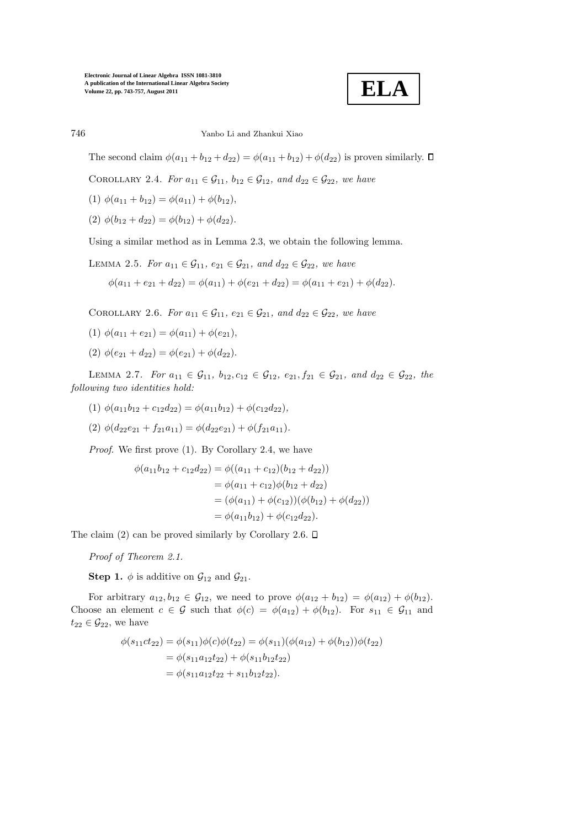

# 746 Yanbo Li and Zhankui Xiao

The second claim  $\phi(a_{11} + b_{12} + d_{22}) = \phi(a_{11} + b_{12}) + \phi(d_{22})$  is proven similarly.  $\Box$ 

COROLLARY 2.4. For  $a_{11} \in \mathcal{G}_{11}$ ,  $b_{12} \in \mathcal{G}_{12}$ , and  $d_{22} \in \mathcal{G}_{22}$ , we have

(1) 
$$
\phi(a_{11} + b_{12}) = \phi(a_{11}) + \phi(b_{12}),
$$

(2)  $\phi(b_{12} + d_{22}) = \phi(b_{12}) + \phi(d_{22}).$ 

Using a similar method as in Lemma 2.3, we obtain the following lemma.

LEMMA 2.5. For 
$$
a_{11} \in \mathcal{G}_{11}
$$
,  $e_{21} \in \mathcal{G}_{21}$ , and  $d_{22} \in \mathcal{G}_{22}$ , we have  
\n
$$
\phi(a_{11} + e_{21} + d_{22}) = \phi(a_{11}) + \phi(e_{21} + d_{22}) = \phi(a_{11} + e_{21}) + \phi(d_{22}).
$$

COROLLARY 2.6. For  $a_{11} \in \mathcal{G}_{11}$ ,  $e_{21} \in \mathcal{G}_{21}$ , and  $d_{22} \in \mathcal{G}_{22}$ , we have

$$
(1) \ \phi(a_{11} + e_{21}) = \phi(a_{11}) + \phi(e_{21}),
$$

(2)  $\phi(e_{21} + d_{22}) = \phi(e_{21}) + \phi(d_{22}).$ 

LEMMA 2.7. For  $a_{11} \in \mathcal{G}_{11}$ ,  $b_{12}, c_{12} \in \mathcal{G}_{12}$ ,  $e_{21}, f_{21} \in \mathcal{G}_{21}$ , and  $d_{22} \in \mathcal{G}_{22}$ , the following two identities hold:

- (1)  $\phi(a_{11}b_{12} + c_{12}d_{22}) = \phi(a_{11}b_{12}) + \phi(c_{12}d_{22}),$
- (2)  $\phi(d_{22}e_{21} + f_{21}a_{11}) = \phi(d_{22}e_{21}) + \phi(f_{21}a_{11}).$

Proof. We first prove (1). By Corollary 2.4, we have

$$
\phi(a_{11}b_{12} + c_{12}d_{22}) = \phi((a_{11} + c_{12})(b_{12} + d_{22}))
$$
  
=  $\phi(a_{11} + c_{12})\phi(b_{12} + d_{22})$   
=  $(\phi(a_{11}) + \phi(c_{12}))(\phi(b_{12}) + \phi(d_{22}))$   
=  $\phi(a_{11}b_{12}) + \phi(c_{12}d_{22}).$ 

The claim (2) can be proved similarly by Corollary 2.6.  $\square$ 

Proof of Theorem 2.1.

**Step 1.**  $\phi$  is additive on  $\mathcal{G}_{12}$  and  $\mathcal{G}_{21}$ .

For arbitrary  $a_{12}, b_{12} \in G_{12}$ , we need to prove  $\phi(a_{12} + b_{12}) = \phi(a_{12}) + \phi(b_{12})$ . Choose an element  $c \in \mathcal{G}$  such that  $\phi(c) = \phi(a_{12}) + \phi(b_{12})$ . For  $s_{11} \in \mathcal{G}_{11}$  and  $t_{22} \in \mathcal{G}_{22}$ , we have

$$
\phi(s_{11}ct_{22}) = \phi(s_{11})\phi(c)\phi(t_{22}) = \phi(s_{11})(\phi(a_{12}) + \phi(b_{12}))\phi(t_{22})
$$
  
=  $\phi(s_{11}a_{12}t_{22}) + \phi(s_{11}b_{12}t_{22})$   
=  $\phi(s_{11}a_{12}t_{22} + s_{11}b_{12}t_{22}).$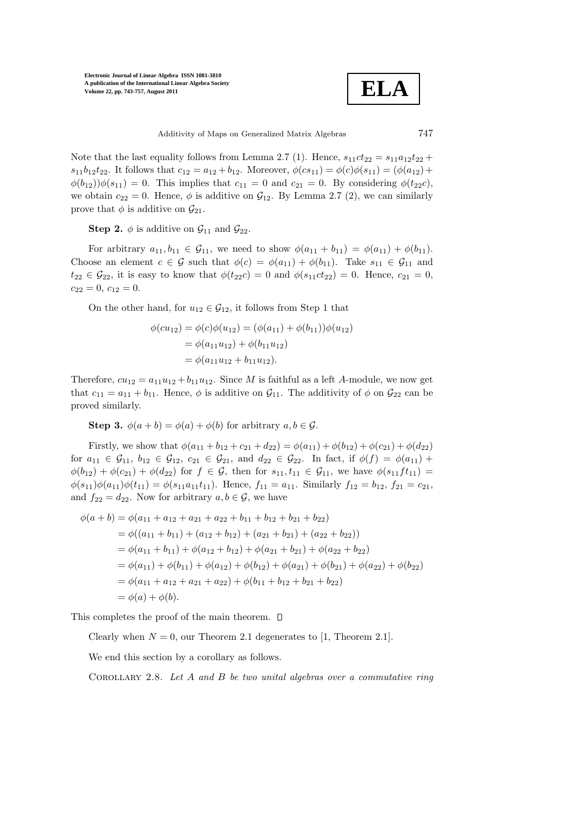**ELA**

Additivity of Maps on Generalized Matrix Algebras 747

Note that the last equality follows from Lemma 2.7 (1). Hence,  $s_{11}ct_{22} = s_{11}a_{12}t_{22} +$  $s_{11}b_{12}t_{22}$ . It follows that  $c_{12} = a_{12} + b_{12}$ . Moreover,  $\phi(cs_{11}) = \phi(c)\phi(s_{11}) = (\phi(a_{12}) +$  $\phi(b_{12})\phi(s_{11})=0$ . This implies that  $c_{11}=0$  and  $c_{21}=0$ . By considering  $\phi(t_{22}c)$ , we obtain  $c_{22} = 0$ . Hence,  $\phi$  is additive on  $\mathcal{G}_{12}$ . By Lemma 2.7 (2), we can similarly prove that  $\phi$  is additive on  $\mathcal{G}_{21}$ .

**Step 2.**  $\phi$  is additive on  $\mathcal{G}_{11}$  and  $\mathcal{G}_{22}$ .

For arbitrary  $a_{11}, b_{11} \in G_{11}$ , we need to show  $\phi(a_{11} + b_{11}) = \phi(a_{11}) + \phi(b_{11})$ . Choose an element  $c \in \mathcal{G}$  such that  $\phi(c) = \phi(a_{11}) + \phi(b_{11})$ . Take  $s_{11} \in \mathcal{G}_{11}$  and  $t_{22} \in \mathcal{G}_{22}$ , it is easy to know that  $\phi(t_{22}c) = 0$  and  $\phi(s_{11}ct_{22}) = 0$ . Hence,  $c_{21} = 0$ ,  $c_{22} = 0, c_{12} = 0.$ 

On the other hand, for  $u_{12} \in \mathcal{G}_{12}$ , it follows from Step 1 that

$$
\phi(cu_{12}) = \phi(c)\phi(u_{12}) = (\phi(a_{11}) + \phi(b_{11}))\phi(u_{12})
$$
  
=  $\phi(a_{11}u_{12}) + \phi(b_{11}u_{12})$   
=  $\phi(a_{11}u_{12} + b_{11}u_{12}).$ 

Therefore,  $cu_{12} = a_{11}u_{12} + b_{11}u_{12}$ . Since M is faithful as a left A-module, we now get that  $c_{11} = a_{11} + b_{11}$ . Hence,  $\phi$  is additive on  $\mathcal{G}_{11}$ . The additivity of  $\phi$  on  $\mathcal{G}_{22}$  can be proved similarly.

**Step 3.**  $\phi(a+b) = \phi(a) + \phi(b)$  for arbitrary  $a, b \in \mathcal{G}$ .

Firstly, we show that  $\phi(a_{11} + b_{12} + c_{21} + d_{22}) = \phi(a_{11}) + \phi(b_{12}) + \phi(c_{21}) + \phi(d_{22})$ for  $a_{11} \in \mathcal{G}_{11}$ ,  $b_{12} \in \mathcal{G}_{12}$ ,  $c_{21} \in \mathcal{G}_{21}$ , and  $d_{22} \in \mathcal{G}_{22}$ . In fact, if  $\phi(f) = \phi(a_{11}) +$  $\phi(b_{12}) + \phi(c_{21}) + \phi(d_{22})$  for  $f \in \mathcal{G}$ , then for  $s_{11}, t_{11} \in \mathcal{G}_{11}$ , we have  $\phi(s_{11}ft_{11}) =$  $\phi(s_{11})\phi(a_{11})\phi(t_{11}) = \phi(s_{11}a_{11}t_{11}).$  Hence,  $f_{11} = a_{11}$ . Similarly  $f_{12} = b_{12}, f_{21} = c_{21},$ and  $f_{22} = d_{22}$ . Now for arbitrary  $a, b \in \mathcal{G}$ , we have

$$
\phi(a+b) = \phi(a_{11} + a_{12} + a_{21} + a_{22} + b_{11} + b_{12} + b_{21} + b_{22})
$$
  
\n
$$
= \phi((a_{11} + b_{11}) + (a_{12} + b_{12}) + (a_{21} + b_{21}) + (a_{22} + b_{22}))
$$
  
\n
$$
= \phi(a_{11} + b_{11}) + \phi(a_{12} + b_{12}) + \phi(a_{21} + b_{21}) + \phi(a_{22} + b_{22})
$$
  
\n
$$
= \phi(a_{11}) + \phi(b_{11}) + \phi(a_{12}) + \phi(b_{12}) + \phi(a_{21}) + \phi(b_{21}) + \phi(a_{22}) + \phi(b_{22})
$$
  
\n
$$
= \phi(a_{11} + a_{12} + a_{21} + a_{22}) + \phi(b_{11} + b_{12} + b_{21} + b_{22})
$$
  
\n
$$
= \phi(a) + \phi(b).
$$

This completes the proof of the main theorem.  $\square$ 

Clearly when  $N = 0$ , our Theorem 2.1 degenerates to [1, Theorem 2.1].

We end this section by a corollary as follows.

COROLLARY 2.8. Let  $A$  and  $B$  be two unital algebras over a commutative ring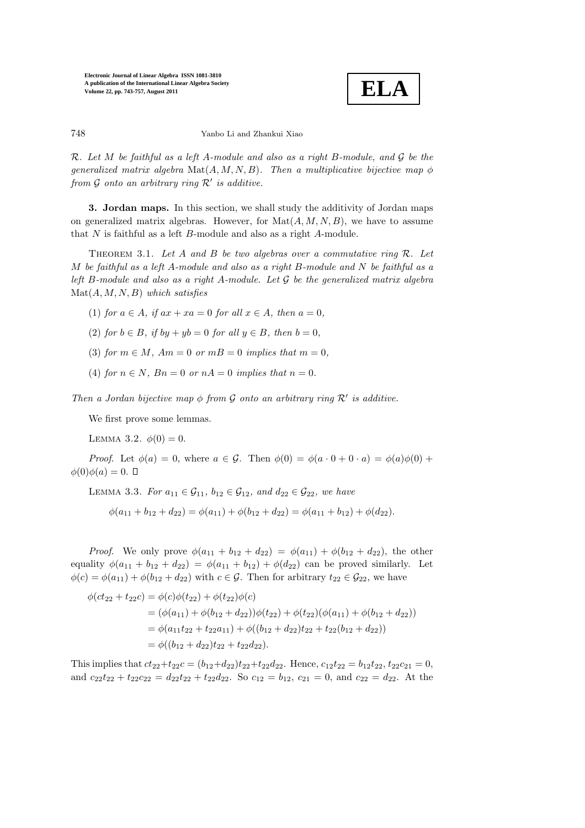

748 Yanbo Li and Zhankui Xiao

R. Let M be faithful as a left A-module and also as a right B-module, and G be the generalized matrix algebra  $\text{Mat}(A, M, N, B)$ . Then a multiplicative bijective map  $\phi$ from  $\mathcal G$  onto an arbitrary ring  $\mathcal R'$  is additive.

3. Jordan maps. In this section, we shall study the additivity of Jordan maps on generalized matrix algebras. However, for  $\text{Mat}(A, M, N, B)$ , we have to assume that N is faithful as a left B-module and also as a right A-module.

THEOREM 3.1. Let A and B be two algebras over a commutative ring  $\mathcal{R}$ . Let M be faithful as a left A-module and also as a right  $B$ -module and  $N$  be faithful as a left B-module and also as a right A-module. Let  $\mathcal G$  be the generalized matrix algebra  $\text{Mat}(A, M, N, B)$  which satisfies

(1) for 
$$
a \in A
$$
, if  $ax + xa = 0$  for all  $x \in A$ , then  $a = 0$ ,

- (2) for  $b \in B$ , if  $by + yb = 0$  for all  $y \in B$ , then  $b = 0$ ,
- (3) for  $m \in M$ ,  $Am = 0$  or  $m = 0$  implies that  $m = 0$ .
- (4) for  $n \in N$ ,  $Bn = 0$  or  $nA = 0$  implies that  $n = 0$ .

Then a Jordan bijective map  $\phi$  from G onto an arbitrary ring  $\mathcal{R}'$  is additive.

We first prove some lemmas.

LEMMA 3.2.  $\phi(0) = 0$ .

*Proof.* Let  $\phi(a) = 0$ , where  $a \in \mathcal{G}$ . Then  $\phi(0) = \phi(a \cdot 0 + 0 \cdot a) = \phi(a)\phi(0) +$  $\phi(0)\phi(a) = 0.$   $\Box$ 

LEMMA 3.3. For  $a_{11} \in \mathcal{G}_{11}$ ,  $b_{12} \in \mathcal{G}_{12}$ , and  $d_{22} \in \mathcal{G}_{22}$ , we have

$$
\phi(a_{11} + b_{12} + d_{22}) = \phi(a_{11}) + \phi(b_{12} + d_{22}) = \phi(a_{11} + b_{12}) + \phi(d_{22}).
$$

*Proof.* We only prove  $\phi(a_{11} + b_{12} + d_{22}) = \phi(a_{11}) + \phi(b_{12} + d_{22})$ , the other equality  $\phi(a_{11} + b_{12} + d_{22}) = \phi(a_{11} + b_{12}) + \phi(d_{22})$  can be proved similarly. Let  $\phi(c) = \phi(a_{11}) + \phi(b_{12} + d_{22})$  with  $c \in \mathcal{G}$ . Then for arbitrary  $t_{22} \in \mathcal{G}_{22}$ , we have

$$
\phi(ct_{22} + t_{22}c) = \phi(c)\phi(t_{22}) + \phi(t_{22})\phi(c)
$$
  
=  $(\phi(a_{11}) + \phi(b_{12} + d_{22}))\phi(t_{22}) + \phi(t_{22})(\phi(a_{11}) + \phi(b_{12} + d_{22}))$   
=  $\phi(a_{11}t_{22} + t_{22}a_{11}) + \phi((b_{12} + d_{22})t_{22} + t_{22}(b_{12} + d_{22}))$   
=  $\phi((b_{12} + d_{22})t_{22} + t_{22}d_{22}).$ 

This implies that  $ct_{22}+t_{22}c = (b_{12}+d_{22})t_{22}+t_{22}d_{22}$ . Hence,  $c_{12}t_{22} = b_{12}t_{22}, t_{22}c_{21} = 0$ , and  $c_{22}t_{22} + t_{22}c_{22} = d_{22}t_{22} + t_{22}d_{22}$ . So  $c_{12} = b_{12}$ ,  $c_{21} = 0$ , and  $c_{22} = d_{22}$ . At the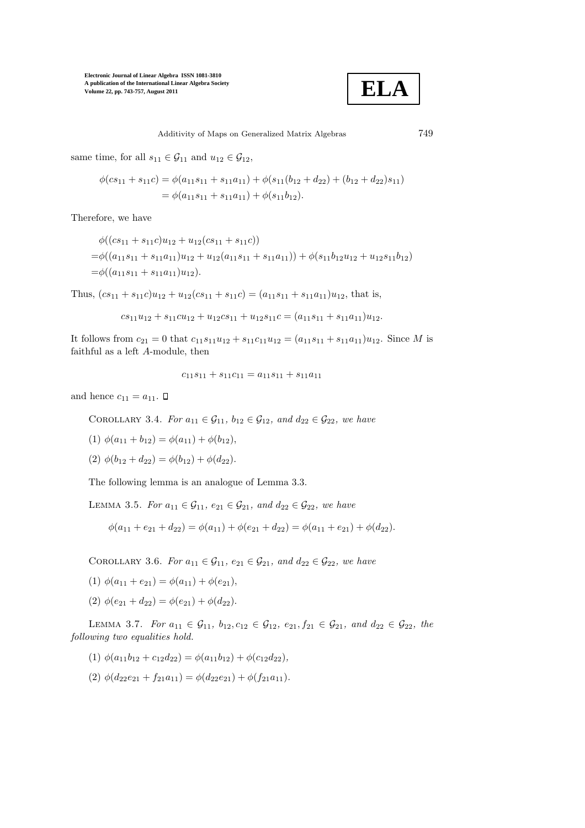

Additivity of Maps on Generalized Matrix Algebras 749

same time, for all  $s_{11} \in \mathcal{G}_{11}$  and  $u_{12} \in \mathcal{G}_{12}$ ,

$$
\phi(c s_{11} + s_{11}c) = \phi(a_{11} s_{11} + s_{11} a_{11}) + \phi(s_{11}(b_{12} + d_{22}) + (b_{12} + d_{22}) s_{11})
$$
  
=  $\phi(a_{11} s_{11} + s_{11} a_{11}) + \phi(s_{11} b_{12}).$ 

Therefore, we have

$$
\phi((cs_{11} + s_{11}c)u_{12} + u_{12}(cs_{11} + s_{11}c))
$$
  
=  $\phi((a_{11}s_{11} + s_{11}a_{11})u_{12} + u_{12}(a_{11}s_{11} + s_{11}a_{11})) + \phi(s_{11}b_{12}u_{12} + u_{12}s_{11}b_{12})$   
=  $\phi((a_{11}s_{11} + s_{11}a_{11})u_{12}).$ 

Thus,  $(c s_{11} + s_{11}c)u_{12} + u_{12}(c s_{11} + s_{11}c) = (a_{11} s_{11} + s_{11} a_{11})u_{12}$ , that is,

$$
cs_{11}u_{12} + s_{11}cu_{12} + u_{12}cs_{11} + u_{12}s_{11}c = (a_{11}s_{11} + s_{11}a_{11})u_{12}.
$$

It follows from  $c_{21} = 0$  that  $c_{11}s_{11}u_{12} + s_{11}c_{11}u_{12} = (a_{11}s_{11} + s_{11}a_{11})u_{12}$ . Since M is faithful as a left A-module, then

$$
c_{11}s_{11} + s_{11}c_{11} = a_{11}s_{11} + s_{11}a_{11}
$$

and hence  $c_{11} = a_{11}$ .  $\Box$ 

COROLLARY 3.4. For  $a_{11} \in \mathcal{G}_{11}$ ,  $b_{12} \in \mathcal{G}_{12}$ , and  $d_{22} \in \mathcal{G}_{22}$ , we have

- (1)  $\phi(a_{11} + b_{12}) = \phi(a_{11}) + \phi(b_{12}),$
- (2)  $\phi(b_{12} + d_{22}) = \phi(b_{12}) + \phi(d_{22}).$

The following lemma is an analogue of Lemma 3.3.

LEMMA 3.5. For  $a_{11} \in \mathcal{G}_{11}$ ,  $e_{21} \in \mathcal{G}_{21}$ , and  $d_{22} \in \mathcal{G}_{22}$ , we have

$$
\phi(a_{11} + e_{21} + d_{22}) = \phi(a_{11}) + \phi(e_{21} + d_{22}) = \phi(a_{11} + e_{21}) + \phi(d_{22}).
$$

COROLLARY 3.6. For  $a_{11} \in \mathcal{G}_{11}$ ,  $e_{21} \in \mathcal{G}_{21}$ , and  $d_{22} \in \mathcal{G}_{22}$ , we have

- (1)  $\phi(a_{11} + e_{21}) = \phi(a_{11}) + \phi(e_{21}),$
- (2)  $\phi(e_{21} + d_{22}) = \phi(e_{21}) + \phi(d_{22}).$

LEMMA 3.7. For  $a_{11} \in \mathcal{G}_{11}$ ,  $b_{12}, c_{12} \in \mathcal{G}_{12}$ ,  $e_{21}, f_{21} \in \mathcal{G}_{21}$ , and  $d_{22} \in \mathcal{G}_{22}$ , the following two equalities hold.

- (1)  $\phi(a_{11}b_{12} + c_{12}d_{22}) = \phi(a_{11}b_{12}) + \phi(c_{12}d_{22}),$
- (2)  $\phi(d_{22}e_{21} + f_{21}a_{11}) = \phi(d_{22}e_{21}) + \phi(f_{21}a_{11}).$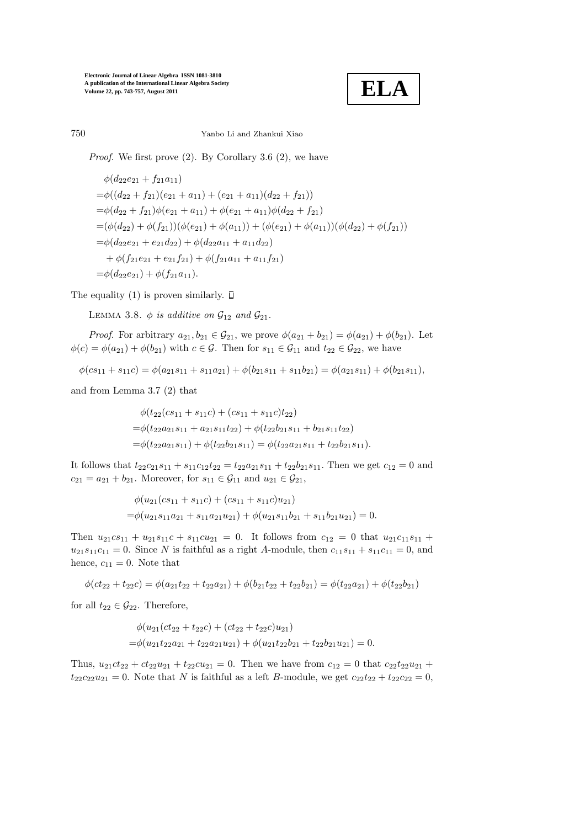

## 750 Yanbo Li and Zhankui Xiao

*Proof.* We first prove  $(2)$ . By Corollary 3.6  $(2)$ , we have

$$
\phi(d_{22}e_{21} + f_{21}a_{11})
$$
  
= $\phi((d_{22} + f_{21})(e_{21} + a_{11}) + (e_{21} + a_{11})(d_{22} + f_{21}))$   
= $\phi(d_{22} + f_{21})\phi(e_{21} + a_{11}) + \phi(e_{21} + a_{11})\phi(d_{22} + f_{21})$   
= $(\phi(d_{22}) + \phi(f_{21}))(\phi(e_{21}) + \phi(a_{11})) + (\phi(e_{21}) + \phi(a_{11}))(\phi(d_{22}) + \phi(f_{21}))$   
= $\phi(d_{22}e_{21} + e_{21}d_{22}) + \phi(d_{22}a_{11} + a_{11}d_{22})$   
+ $\phi(f_{21}e_{21} + e_{21}f_{21}) + \phi(f_{21}a_{11} + a_{11}f_{21})$   
= $\phi(d_{22}e_{21}) + \phi(f_{21}a_{11}).$ 

The equality (1) is proven similarly.  $\square$ 

LEMMA 3.8.  $\phi$  is additive on  $\mathcal{G}_{12}$  and  $\mathcal{G}_{21}$ .

*Proof.* For arbitrary  $a_{21}, b_{21} \in G_{21}$ , we prove  $\phi(a_{21} + b_{21}) = \phi(a_{21}) + \phi(b_{21})$ . Let  $\phi(c) = \phi(a_{21}) + \phi(b_{21})$  with  $c \in \mathcal{G}$ . Then for  $s_{11} \in \mathcal{G}_{11}$  and  $t_{22} \in \mathcal{G}_{22}$ , we have

$$
\phi(c s_{11} + s_{11} c) = \phi(a_{21} s_{11} + s_{11} a_{21}) + \phi(b_{21} s_{11} + s_{11} b_{21}) = \phi(a_{21} s_{11}) + \phi(b_{21} s_{11}),
$$

and from Lemma 3.7 (2) that

 $\phi(t_{22}(cs_{11} + s_{11}c) + (cs_{11} + s_{11}c)t_{22})$  $=\phi(t_{22}a_{21}s_{11} + a_{21}s_{11}t_{22}) + \phi(t_{22}b_{21}s_{11} + b_{21}s_{11}t_{22})$  $=\phi(t_{22}a_{21}s_{11}) + \phi(t_{22}b_{21}s_{11}) = \phi(t_{22}a_{21}s_{11} + t_{22}b_{21}s_{11}).$ 

It follows that  $t_{22}c_{21}s_{11} + s_{11}c_{12}t_{22} = t_{22}a_{21}s_{11} + t_{22}b_{21}s_{11}$ . Then we get  $c_{12} = 0$  and  $c_{21} = a_{21} + b_{21}$ . Moreover, for  $s_{11} \in \mathcal{G}_{11}$  and  $u_{21} \in \mathcal{G}_{21}$ ,

$$
\phi(u_{21}(cs_{11} + s_{11}c) + (cs_{11} + s_{11}c)u_{21})
$$
  
=  $\phi(u_{21}s_{11}a_{21} + s_{11}a_{21}u_{21}) + \phi(u_{21}s_{11}b_{21} + s_{11}b_{21}u_{21}) = 0.$ 

Then  $u_{21}c_{511} + u_{21}s_{11}c + s_{11}cu_{21} = 0$ . It follows from  $c_{12} = 0$  that  $u_{21}c_{11}s_{11} +$  $u_{21}s_{11}c_{11} = 0$ . Since N is faithful as a right A-module, then  $c_{11}s_{11} + s_{11}c_{11} = 0$ , and hence,  $c_{11} = 0$ . Note that

$$
\phi(ct_{22} + t_{22}c) = \phi(a_{21}t_{22} + t_{22}a_{21}) + \phi(b_{21}t_{22} + t_{22}b_{21}) = \phi(t_{22}a_{21}) + \phi(t_{22}b_{21})
$$

for all  $t_{22} \in \mathcal{G}_{22}$ . Therefore,

$$
\phi(u_{21}(ct_{22} + t_{22}c) + (ct_{22} + t_{22}c)u_{21})
$$
  
=  $\phi(u_{21}t_{22}a_{21} + t_{22}a_{21}u_{21}) + \phi(u_{21}t_{22}b_{21} + t_{22}b_{21}u_{21}) = 0.$ 

Thus,  $u_{21}ct_{22} + ct_{22}u_{21} + t_{22}cu_{21} = 0$ . Then we have from  $c_{12} = 0$  that  $c_{22}t_{22}u_{21} +$  $t_{22}c_{22}u_{21} = 0$ . Note that N is faithful as a left B-module, we get  $c_{22}t_{22} + t_{22}c_{22} = 0$ ,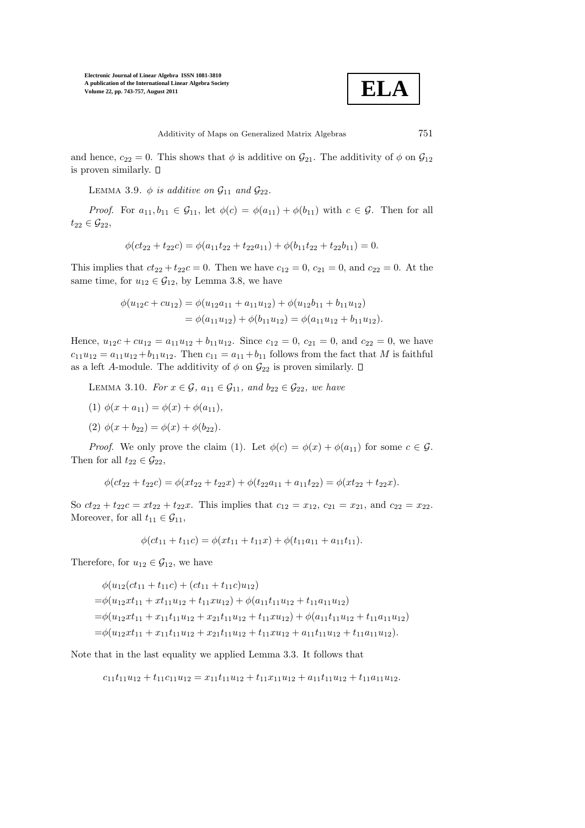

and hence,  $c_{22} = 0$ . This shows that  $\phi$  is additive on  $\mathcal{G}_{21}$ . The additivity of  $\phi$  on  $\mathcal{G}_{12}$ is proven similarly.  $\square$ 

LEMMA 3.9.  $\phi$  is additive on  $\mathcal{G}_{11}$  and  $\mathcal{G}_{22}$ .

*Proof.* For  $a_{11}, b_{11} \in \mathcal{G}_{11}$ , let  $\phi(c) = \phi(a_{11}) + \phi(b_{11})$  with  $c \in \mathcal{G}$ . Then for all  $t_{22} \in \mathcal{G}_{22}$ ,

$$
\phi(ct_{22} + t_{22}c) = \phi(a_{11}t_{22} + t_{22}a_{11}) + \phi(b_{11}t_{22} + t_{22}b_{11}) = 0.
$$

This implies that  $ct_{22} + t_{22}c = 0$ . Then we have  $c_{12} = 0$ ,  $c_{21} = 0$ , and  $c_{22} = 0$ . At the same time, for  $u_{12} \in \mathcal{G}_{12}$ , by Lemma 3.8, we have

$$
\phi(u_{12}c + cu_{12}) = \phi(u_{12}a_{11} + a_{11}u_{12}) + \phi(u_{12}b_{11} + b_{11}u_{12})
$$
  
=  $\phi(a_{11}u_{12}) + \phi(b_{11}u_{12}) = \phi(a_{11}u_{12} + b_{11}u_{12}).$ 

Hence,  $u_{12}c + cu_{12} = a_{11}u_{12} + b_{11}u_{12}$ . Since  $c_{12} = 0$ ,  $c_{21} = 0$ , and  $c_{22} = 0$ , we have  $c_{11}u_{12} = a_{11}u_{12} + b_{11}u_{12}$ . Then  $c_{11} = a_{11} + b_{11}$  follows from the fact that M is faithful as a left A-module. The additivity of  $\phi$  on  $\mathcal{G}_{22}$  is proven similarly.  $\square$ 

LEMMA 3.10. For  $x \in \mathcal{G}$ ,  $a_{11} \in \mathcal{G}_{11}$ , and  $b_{22} \in \mathcal{G}_{22}$ , we have

- (1)  $\phi(x + a_{11}) = \phi(x) + \phi(a_{11}),$
- (2)  $\phi(x + b_{22}) = \phi(x) + \phi(b_{22}).$

*Proof.* We only prove the claim (1). Let  $\phi(c) = \phi(x) + \phi(a_{11})$  for some  $c \in \mathcal{G}$ . Then for all  $t_{22} \in \mathcal{G}_{22}$ ,

$$
\phi(ct_{22} + t_{22}c) = \phi(xt_{22} + t_{22}x) + \phi(t_{22}a_{11} + a_{11}t_{22}) = \phi(xt_{22} + t_{22}x).
$$

So  $ct_{22} + t_{22}c = xt_{22} + t_{22}x$ . This implies that  $c_{12} = x_{12}$ ,  $c_{21} = x_{21}$ , and  $c_{22} = x_{22}$ . Moreover, for all  $t_{11} \in \mathcal{G}_{11}$ ,

$$
\phi(ct_{11} + t_{11}c) = \phi(xt_{11} + t_{11}x) + \phi(t_{11}a_{11} + a_{11}t_{11}).
$$

Therefore, for  $u_{12} \in \mathcal{G}_{12}$ , we have

$$
\phi(u_{12}(ct_{11} + t_{11}c) + (ct_{11} + t_{11}c)u_{12})
$$
  
=  $\phi(u_{12}xt_{11} + xt_{11}u_{12} + t_{11}xu_{12}) + \phi(a_{11}t_{11}u_{12} + t_{11}a_{11}u_{12})$   
=  $\phi(u_{12}xt_{11} + x_{11}t_{11}u_{12} + x_{21}t_{11}u_{12} + t_{11}xu_{12}) + \phi(a_{11}t_{11}u_{12} + t_{11}a_{11}u_{12})$   
=  $\phi(u_{12}xt_{11} + x_{11}t_{11}u_{12} + x_{21}t_{11}u_{12} + t_{11}xu_{12} + a_{11}t_{11}u_{12} + t_{11}a_{11}u_{12}).$ 

Note that in the last equality we applied Lemma 3.3. It follows that

$$
c_{11}t_{11}u_{12} + t_{11}c_{11}u_{12} = x_{11}t_{11}u_{12} + t_{11}x_{11}u_{12} + a_{11}t_{11}u_{12} + t_{11}a_{11}u_{12}.
$$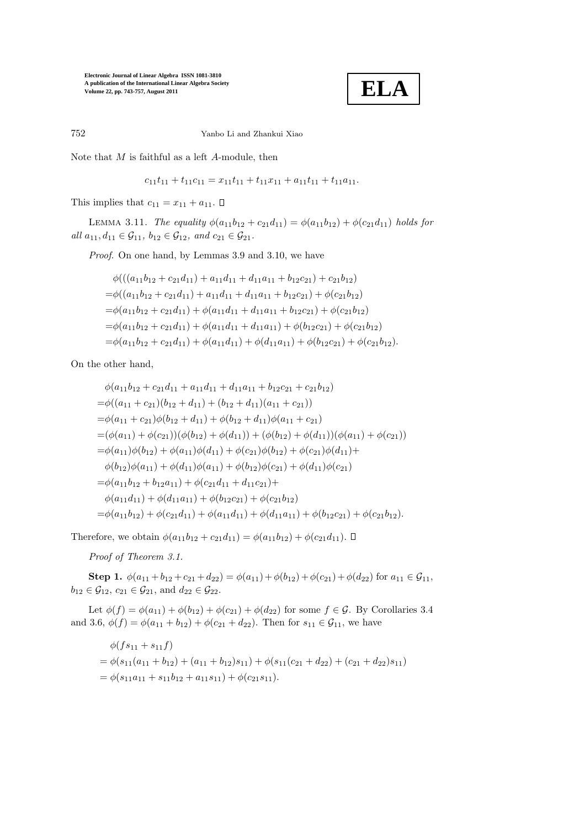

752 Yanbo Li and Zhankui Xiao

Note that  $M$  is faithful as a left  $A$ -module, then

 $c_{11}t_{11} + t_{11}c_{11} = x_{11}t_{11} + t_{11}x_{11} + a_{11}t_{11} + t_{11}a_{11}.$ 

This implies that  $c_{11} = x_{11} + a_{11}$ .  $\Box$ 

LEMMA 3.11. The equality  $\phi(a_{11}b_{12} + c_{21}d_{11}) = \phi(a_{11}b_{12}) + \phi(c_{21}d_{11})$  holds for all  $a_{11}, d_{11} \in \mathcal{G}_{11}$ ,  $b_{12} \in \mathcal{G}_{12}$ , and  $c_{21} \in \mathcal{G}_{21}$ .

Proof. On one hand, by Lemmas 3.9 and 3.10, we have

$$
\phi(((a_{11}b_{12} + c_{21}d_{11}) + a_{11}d_{11} + d_{11}a_{11} + b_{12}c_{21}) + c_{21}b_{12})
$$
  
= 
$$
\phi((a_{11}b_{12} + c_{21}d_{11}) + a_{11}d_{11} + d_{11}a_{11} + b_{12}c_{21}) + \phi(c_{21}b_{12})
$$
  
= 
$$
\phi(a_{11}b_{12} + c_{21}d_{11}) + \phi(a_{11}d_{11} + d_{11}a_{11} + b_{12}c_{21}) + \phi(c_{21}b_{12})
$$
  
= 
$$
\phi(a_{11}b_{12} + c_{21}d_{11}) + \phi(a_{11}d_{11} + d_{11}a_{11}) + \phi(b_{12}c_{21}) + \phi(c_{21}b_{12})
$$
  
= 
$$
\phi(a_{11}b_{12} + c_{21}d_{11}) + \phi(a_{11}d_{11}) + \phi(d_{11}a_{11}) + \phi(b_{12}c_{21}) + \phi(c_{21}b_{12}).
$$

On the other hand,

$$
\phi(a_{11}b_{12} + c_{21}d_{11} + a_{11}d_{11} + d_{11}a_{11} + b_{12}c_{21} + c_{21}b_{12})
$$
  
\n
$$
= \phi((a_{11} + c_{21})(b_{12} + d_{11}) + (b_{12} + d_{11})(a_{11} + c_{21}))
$$
  
\n
$$
= \phi(a_{11} + c_{21})\phi(b_{12} + d_{11}) + \phi(b_{12} + d_{11})\phi(a_{11} + c_{21})
$$
  
\n
$$
= (\phi(a_{11}) + \phi(c_{21}))(\phi(b_{12}) + \phi(d_{11})) + (\phi(b_{12}) + \phi(d_{11}))(\phi(a_{11}) + \phi(c_{21}))
$$
  
\n
$$
= \phi(a_{11})\phi(b_{12}) + \phi(a_{11})\phi(d_{11}) + \phi(c_{21})\phi(b_{12}) + \phi(c_{21})\phi(d_{11}) +
$$
  
\n
$$
\phi(b_{12})\phi(a_{11}) + \phi(d_{11})\phi(a_{11}) + \phi(b_{12})\phi(c_{21}) + \phi(d_{11})\phi(c_{21})
$$
  
\n
$$
= \phi(a_{11}b_{12} + b_{12}a_{11}) + \phi(c_{21}d_{11} + d_{11}c_{21}) +
$$
  
\n
$$
\phi(a_{11}d_{11}) + \phi(d_{11}a_{11}) + \phi(b_{12}c_{21}) + \phi(c_{21}b_{12})
$$
  
\n
$$
= \phi(a_{11}b_{12}) + \phi(c_{21}d_{11}) + \phi(a_{11}d_{11}) + \phi(d_{11}a_{11}) + \phi(b_{12}c_{21}) + \phi(c_{21}b_{12}).
$$

Therefore, we obtain  $\phi(a_{11}b_{12} + c_{21}d_{11}) = \phi(a_{11}b_{12}) + \phi(c_{21}d_{11})$ .  $\Box$ 

Proof of Theorem 3.1.

Step 1.  $\phi(a_{11} + b_{12} + c_{21} + d_{22}) = \phi(a_{11}) + \phi(b_{12}) + \phi(c_{21}) + \phi(d_{22})$  for  $a_{11} \in \mathcal{G}_{11}$ ,  $b_{12} \in \mathcal{G}_{12}, c_{21} \in \mathcal{G}_{21}$ , and  $d_{22} \in \mathcal{G}_{22}$ .

Let  $\phi(f) = \phi(a_{11}) + \phi(b_{12}) + \phi(c_{21}) + \phi(d_{22})$  for some  $f \in \mathcal{G}$ . By Corollaries 3.4 and 3.6,  $\phi(f) = \phi(a_{11} + b_{12}) + \phi(c_{21} + d_{22})$ . Then for  $s_{11} \in \mathcal{G}_{11}$ , we have

$$
\begin{aligned} \phi(f s_{11} + s_{11} f) \\ &= \phi(s_{11}(a_{11} + b_{12}) + (a_{11} + b_{12})s_{11}) + \phi(s_{11}(c_{21} + d_{22}) + (c_{21} + d_{22})s_{11}) \\ &= \phi(s_{11}a_{11} + s_{11}b_{12} + a_{11}s_{11}) + \phi(c_{21}s_{11}). \end{aligned}
$$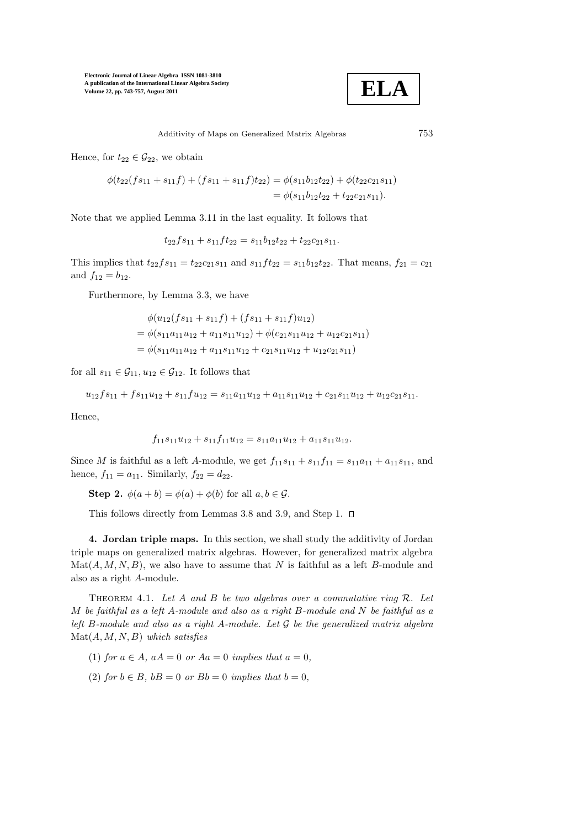

Additivity of Maps on Generalized Matrix Algebras 753

Hence, for  $t_{22} \in \mathcal{G}_{22}$ , we obtain

$$
\phi(t_{22}(fs_{11}+s_{11}f)+(fs_{11}+s_{11}f)t_{22}) = \phi(s_{11}b_{12}t_{22}) + \phi(t_{22}c_{21}s_{11})
$$
  
=  $\phi(s_{11}b_{12}t_{22}+t_{22}c_{21}s_{11}).$ 

Note that we applied Lemma 3.11 in the last equality. It follows that

$$
t_{22}fs_{11} + s_{11}ft_{22} = s_{11}b_{12}t_{22} + t_{22}c_{21}s_{11}.
$$

This implies that  $t_{22}fs_{11} = t_{22}c_{21}s_{11}$  and  $s_{11}ft_{22} = s_{11}b_{12}t_{22}$ . That means,  $f_{21} = c_{21}$ and  $f_{12} = b_{12}$ .

Furthermore, by Lemma 3.3, we have

$$
\phi(u_{12}(fs_{11}+s_{11}f)+(fs_{11}+s_{11}f)u_{12})
$$
  
=  $\phi(s_{11}a_{11}u_{12}+a_{11}s_{11}u_{12})+\phi(c_{21}s_{11}u_{12}+u_{12}c_{21}s_{11})$   
=  $\phi(s_{11}a_{11}u_{12}+a_{11}s_{11}u_{12}+c_{21}s_{11}u_{12}+u_{12}c_{21}s_{11})$ 

for all  $s_{11} \in \mathcal{G}_{11}, u_{12} \in \mathcal{G}_{12}$ . It follows that

$$
u_{12}fs_{11}+fs_{11}u_{12}+s_{11}fu_{12}=s_{11}a_{11}u_{12}+a_{11}s_{11}u_{12}+c_{21}s_{11}u_{12}+u_{12}c_{21}s_{11}.
$$

Hence,

$$
f_{11}s_{11}u_{12} + s_{11}f_{11}u_{12} = s_{11}a_{11}u_{12} + a_{11}s_{11}u_{12}.
$$

Since *M* is faithful as a left *A*-module, we get  $f_{11}s_{11} + s_{11}f_{11} = s_{11}a_{11} + a_{11}s_{11}$ , and hence,  $f_{11} = a_{11}$ . Similarly,  $f_{22} = d_{22}$ .

Step 2.  $\phi(a+b) = \phi(a) + \phi(b)$  for all  $a, b \in \mathcal{G}$ .

This follows directly from Lemmas 3.8 and 3.9, and Step 1.  $\square$ 

4. Jordan triple maps. In this section, we shall study the additivity of Jordan triple maps on generalized matrix algebras. However, for generalized matrix algebra  $\text{Mat}(A, M, N, B)$ , we also have to assume that N is faithful as a left B-module and also as a right A-module.

THEOREM 4.1. Let A and B be two algebras over a commutative ring  $\mathcal{R}$ . Let M be faithful as a left A-module and also as a right B-module and  $N$  be faithful as a left B-module and also as a right A-module. Let  $G$  be the generalized matrix algebra  $\mathrm{Mat}(A, M, N, B)$  which satisfies

- (1) for  $a \in A$ ,  $aA = 0$  or  $Aa = 0$  implies that  $a = 0$ ,
- (2) for  $b \in B$ ,  $bB = 0$  or  $Bb = 0$  implies that  $b = 0$ ,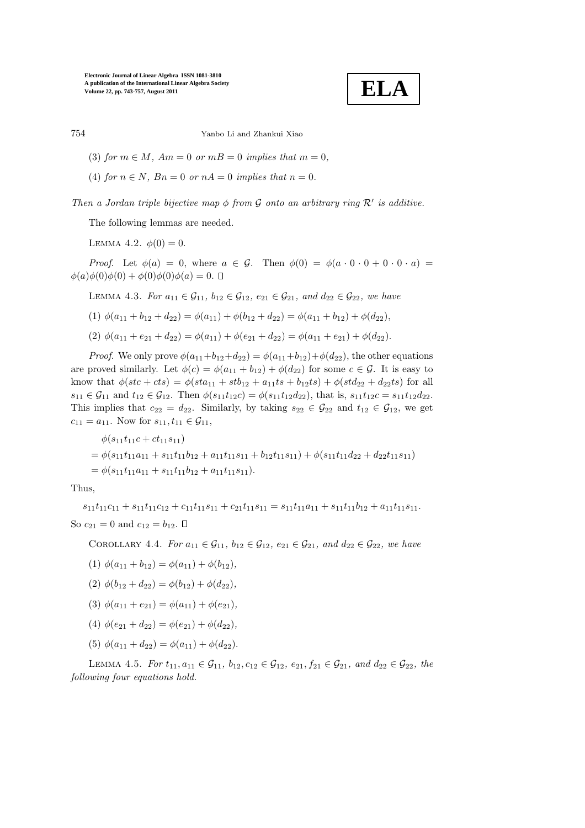$$
\fbox{ELA}
$$

### 754 Yanbo Li and Zhankui Xiao

- (3) for  $m \in M$ ,  $Am = 0$  or  $m = 0$  implies that  $m = 0$ ,
- (4) for  $n \in N$ ,  $Bn = 0$  or  $nA = 0$  implies that  $n = 0$ .

Then a Jordan triple bijective map  $\phi$  from  $\mathcal G$  onto an arbitrary ring  $\mathcal R'$  is additive.

The following lemmas are needed.

LEMMA 4.2.  $\phi(0) = 0$ .

*Proof.* Let  $\phi(a) = 0$ , where  $a \in \mathcal{G}$ . Then  $\phi(0) = \phi(a \cdot 0 \cdot 0 + 0 \cdot 0 \cdot a)$  $\phi(a)\phi(0)\phi(0) + \phi(0)\phi(0)\phi(a) = 0.$  **I** 

LEMMA 4.3. For  $a_{11} \in \mathcal{G}_{11}$ ,  $b_{12} \in \mathcal{G}_{12}$ ,  $e_{21} \in \mathcal{G}_{21}$ , and  $d_{22} \in \mathcal{G}_{22}$ , we have

(1) 
$$
\phi(a_{11} + b_{12} + d_{22}) = \phi(a_{11}) + \phi(b_{12} + d_{22}) = \phi(a_{11} + b_{12}) + \phi(d_{22}),
$$

(2)  $\phi(a_{11} + e_{21} + d_{22}) = \phi(a_{11}) + \phi(e_{21} + d_{22}) = \phi(a_{11} + e_{21}) + \phi(d_{22}).$ 

*Proof.* We only prove  $\phi(a_{11}+b_{12}+d_{22}) = \phi(a_{11}+b_{12})+\phi(d_{22})$ , the other equations are proved similarly. Let  $\phi(c) = \phi(a_{11} + b_{12}) + \phi(d_{22})$  for some  $c \in \mathcal{G}$ . It is easy to know that  $\phi (stc + cts) = \phi (sta_{11} + stb_{12} + a_{11}ts + b_{12}ts) + \phi (std_{22} + d_{22}ts)$  for all  $s_{11} \in \mathcal{G}_{11}$  and  $t_{12} \in \mathcal{G}_{12}$ . Then  $\phi(s_{11}t_{12}c) = \phi(s_{11}t_{12}d_{22})$ , that is,  $s_{11}t_{12}c = s_{11}t_{12}d_{22}$ . This implies that  $c_{22} = d_{22}$ . Similarly, by taking  $s_{22} \in \mathcal{G}_{22}$  and  $t_{12} \in \mathcal{G}_{12}$ , we get  $c_{11} = a_{11}$ . Now for  $s_{11}, t_{11} \in G_{11}$ ,

$$
\phi(s_{11}t_{11}c + ct_{11}s_{11})
$$
  
=  $\phi(s_{11}t_{11}a_{11} + s_{11}t_{11}b_{12} + a_{11}t_{11}s_{11} + b_{12}t_{11}s_{11}) + \phi(s_{11}t_{11}d_{22} + d_{22}t_{11}s_{11})$   
=  $\phi(s_{11}t_{11}a_{11} + s_{11}t_{11}b_{12} + a_{11}t_{11}s_{11}).$ 

Thus,

 $s_{11}t_{11}c_{11} + s_{11}t_{11}c_{12} + c_{11}t_{11}s_{11} + c_{21}t_{11}s_{11} = s_{11}t_{11}a_{11} + s_{11}t_{11}b_{12} + a_{11}t_{11}s_{11}.$ So  $c_{21} = 0$  and  $c_{12} = b_{12}$ .  $\Box$ 

COROLLARY 4.4. For  $a_{11} \in G_{11}$ ,  $b_{12} \in G_{12}$ ,  $e_{21} \in G_{21}$ , and  $d_{22} \in G_{22}$ , we have

- (1)  $\phi(a_{11} + b_{12}) = \phi(a_{11}) + \phi(b_{12}),$
- (2)  $\phi(b_{12} + d_{22}) = \phi(b_{12}) + \phi(d_{22}),$
- (3)  $\phi(a_{11} + e_{21}) = \phi(a_{11}) + \phi(e_{21}),$
- (4)  $\phi(e_{21} + d_{22}) = \phi(e_{21}) + \phi(d_{22}),$
- (5)  $\phi(a_{11} + d_{22}) = \phi(a_{11}) + \phi(d_{22}).$

LEMMA 4.5. For  $t_{11}, a_{11} \in \mathcal{G}_{11}$ ,  $b_{12}, c_{12} \in \mathcal{G}_{12}$ ,  $e_{21}, f_{21} \in \mathcal{G}_{21}$ , and  $d_{22} \in \mathcal{G}_{22}$ , the following four equations hold.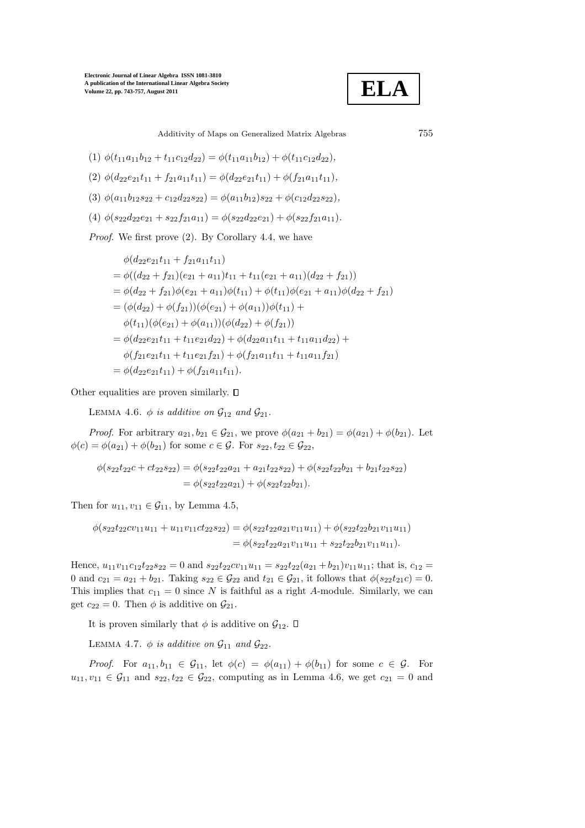

Additivity of Maps on Generalized Matrix Algebras 755

$$
(1) \phi(t_{11}a_{11}b_{12} + t_{11}c_{12}d_{22}) = \phi(t_{11}a_{11}b_{12}) + \phi(t_{11}c_{12}d_{22}),
$$

$$
(2) \ \phi(d_{22}e_{21}t_{11} + f_{21}a_{11}t_{11}) = \phi(d_{22}e_{21}t_{11}) + \phi(f_{21}a_{11}t_{11}),
$$

$$
(3) \ \phi(a_{11}b_{12}s_{22} + c_{12}d_{22}s_{22}) = \phi(a_{11}b_{12})s_{22} + \phi(c_{12}d_{22}s_{22}),
$$

(4)  $\phi(s_{22}d_{22}e_{21} + s_{22}f_{21}a_{11}) = \phi(s_{22}d_{22}e_{21}) + \phi(s_{22}f_{21}a_{11}).$ 

Proof. We first prove (2). By Corollary 4.4, we have

$$
\phi(d_{22}e_{21}t_{11} + f_{21}a_{11}t_{11})
$$
\n
$$
= \phi((d_{22} + f_{21})(e_{21} + a_{11})t_{11} + t_{11}(e_{21} + a_{11})(d_{22} + f_{21}))
$$
\n
$$
= \phi(d_{22} + f_{21})\phi(e_{21} + a_{11})\phi(t_{11}) + \phi(t_{11})\phi(e_{21} + a_{11})\phi(d_{22} + f_{21})
$$
\n
$$
= (\phi(d_{22}) + \phi(f_{21}))(\phi(e_{21}) + \phi(a_{11}))\phi(t_{11}) +
$$
\n
$$
\phi(t_{11})(\phi(e_{21}) + \phi(a_{11}))(\phi(d_{22}) + \phi(f_{21}))
$$
\n
$$
= \phi(d_{22}e_{21}t_{11} + t_{11}e_{21}d_{22}) + \phi(d_{22}a_{11}t_{11} + t_{11}a_{11}d_{22}) +
$$
\n
$$
\phi(f_{21}e_{21}t_{11} + t_{11}e_{21}f_{21}) + \phi(f_{21}a_{11}t_{11} + t_{11}a_{11}f_{21})
$$
\n
$$
= \phi(d_{22}e_{21}t_{11}) + \phi(f_{21}a_{11}t_{11}).
$$

Other equalities are proven similarly.  $\square$ 

LEMMA 4.6.  $\phi$  is additive on  $\mathcal{G}_{12}$  and  $\mathcal{G}_{21}$ .

*Proof.* For arbitrary  $a_{21}, b_{21} \in G_{21}$ , we prove  $\phi(a_{21} + b_{21}) = \phi(a_{21}) + \phi(b_{21})$ . Let  $\phi(c) = \phi(a_{21}) + \phi(b_{21})$  for some  $c \in \mathcal{G}$ . For  $s_{22}, t_{22} \in \mathcal{G}_{22}$ ,

$$
\phi(s_{22}t_{22}c + ct_{22}s_{22}) = \phi(s_{22}t_{22}a_{21} + a_{21}t_{22}s_{22}) + \phi(s_{22}t_{22}b_{21} + b_{21}t_{22}s_{22})
$$
  
=  $\phi(s_{22}t_{22}a_{21}) + \phi(s_{22}t_{22}b_{21}).$ 

Then for  $u_{11}, v_{11} \in G_{11}$ , by Lemma 4.5,

$$
\phi(s_{22}t_{22}cv_{11}u_{11} + u_{11}v_{11}ct_{22}s_{22}) = \phi(s_{22}t_{22}a_{21}v_{11}u_{11}) + \phi(s_{22}t_{22}b_{21}v_{11}u_{11})
$$
  
= 
$$
\phi(s_{22}t_{22}a_{21}v_{11}u_{11} + s_{22}t_{22}b_{21}v_{11}u_{11}).
$$

Hence,  $u_{11}v_{11}c_{12}t_{22}s_{22} = 0$  and  $s_{22}t_{22}cv_{11}u_{11} = s_{22}t_{22}(a_{21} + b_{21})v_{11}u_{11}$ ; that is,  $c_{12} =$ 0 and  $c_{21} = a_{21} + b_{21}$ . Taking  $s_{22} \in \mathcal{G}_{22}$  and  $t_{21} \in \mathcal{G}_{21}$ , it follows that  $\phi(s_{22}t_{21}c) = 0$ . This implies that  $c_{11} = 0$  since N is faithful as a right A-module. Similarly, we can get  $c_{22} = 0$ . Then  $\phi$  is additive on  $\mathcal{G}_{21}$ .

It is proven similarly that  $\phi$  is additive on  $\mathcal{G}_{12}$ .  $\square$ 

LEMMA 4.7.  $\phi$  is additive on  $\mathcal{G}_{11}$  and  $\mathcal{G}_{22}$ .

*Proof.* For  $a_{11}, b_{11} \in \mathcal{G}_{11}$ , let  $\phi(c) = \phi(a_{11}) + \phi(b_{11})$  for some  $c \in \mathcal{G}$ . For  $u_{11}, v_{11} \in G_{11}$  and  $s_{22}, t_{22} \in G_{22}$ , computing as in Lemma 4.6, we get  $c_{21} = 0$  and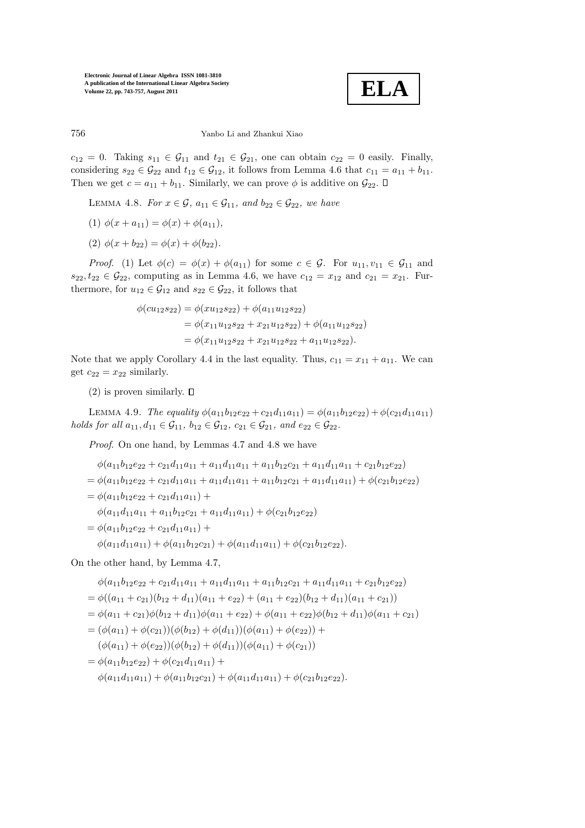

#### 756 Yanbo Li and Zhankui Xiao

 $c_{12} = 0$ . Taking  $s_{11} \in \mathcal{G}_{11}$  and  $t_{21} \in \mathcal{G}_{21}$ , one can obtain  $c_{22} = 0$  easily. Finally, considering  $s_{22} \in \mathcal{G}_{22}$  and  $t_{12} \in \mathcal{G}_{12}$ , it follows from Lemma 4.6 that  $c_{11} = a_{11} + b_{11}$ . Then we get  $c = a_{11} + b_{11}$ . Similarly, we can prove  $\phi$  is additive on  $\mathcal{G}_{22}$ .  $\Box$ 

- LEMMA 4.8. For  $x \in \mathcal{G}$ ,  $a_{11} \in \mathcal{G}_{11}$ , and  $b_{22} \in \mathcal{G}_{22}$ , we have
- (1)  $\phi(x + a_{11}) = \phi(x) + \phi(a_{11}),$
- (2)  $\phi(x + b_{22}) = \phi(x) + \phi(b_{22}).$

*Proof.* (1) Let  $\phi(c) = \phi(x) + \phi(a_{11})$  for some  $c \in \mathcal{G}$ . For  $u_{11}, v_{11} \in \mathcal{G}_{11}$  and  $s_{22}, t_{22} \in \mathcal{G}_{22}$ , computing as in Lemma 4.6, we have  $c_{12} = x_{12}$  and  $c_{21} = x_{21}$ . Furthermore, for  $u_{12} \in \mathcal{G}_{12}$  and  $s_{22} \in \mathcal{G}_{22}$ , it follows that

$$
\phi(cu_{12}s_{22}) = \phi(xu_{12}s_{22}) + \phi(a_{11}u_{12}s_{22})
$$
  
=  $\phi(x_{11}u_{12}s_{22} + x_{21}u_{12}s_{22}) + \phi(a_{11}u_{12}s_{22})$   
=  $\phi(x_{11}u_{12}s_{22} + x_{21}u_{12}s_{22} + a_{11}u_{12}s_{22}).$ 

Note that we apply Corollary 4.4 in the last equality. Thus,  $c_{11} = x_{11} + a_{11}$ . We can get  $c_{22} = x_{22}$  similarly.

(2) is proven similarly.  $\square$ 

LEMMA 4.9. The equality  $\phi(a_{11}b_{12}e_{22} + c_{21}d_{11}a_{11}) = \phi(a_{11}b_{12}e_{22}) + \phi(c_{21}d_{11}a_{11})$ holds for all  $a_{11}, d_{11} \in G_{11}$ ,  $b_{12} \in G_{12}$ ,  $c_{21} \in G_{21}$ , and  $e_{22} \in G_{22}$ .

Proof. On one hand, by Lemmas 4.7 and 4.8 we have

$$
\phi(a_{11}b_{12}e_{22} + c_{21}d_{11}a_{11} + a_{11}d_{11}a_{11} + a_{11}b_{12}c_{21} + a_{11}d_{11}a_{11} + c_{21}b_{12}e_{22})
$$
\n
$$
= \phi(a_{11}b_{12}e_{22} + c_{21}d_{11}a_{11} + a_{11}d_{11}a_{11} + a_{11}b_{12}c_{21} + a_{11}d_{11}a_{11}) + \phi(c_{21}b_{12}e_{22})
$$
\n
$$
= \phi(a_{11}b_{12}e_{22} + c_{21}d_{11}a_{11}) +
$$
\n
$$
\phi(a_{11}d_{11}a_{11} + a_{11}b_{12}c_{21} + a_{11}d_{11}a_{11}) + \phi(c_{21}b_{12}e_{22})
$$
\n
$$
= \phi(a_{11}b_{12}e_{22} + c_{21}d_{11}a_{11}) +
$$
\n
$$
\phi(a_{11}d_{11}a_{11}) + \phi(a_{11}b_{12}c_{21}) + \phi(a_{11}d_{11}a_{11}) + \phi(c_{21}b_{12}e_{22}).
$$

On the other hand, by Lemma 4.7,

$$
\phi(a_{11}b_{12}e_{22} + c_{21}d_{11}a_{11} + a_{11}d_{11}a_{11} + a_{11}b_{12}c_{21} + a_{11}d_{11}a_{11} + c_{21}b_{12}e_{22})
$$
\n
$$
= \phi((a_{11} + c_{21})(b_{12} + d_{11})(a_{11} + e_{22}) + (a_{11} + e_{22})(b_{12} + d_{11})(a_{11} + c_{21}))
$$
\n
$$
= \phi(a_{11} + c_{21})\phi(b_{12} + d_{11})\phi(a_{11} + e_{22}) + \phi(a_{11} + e_{22})\phi(b_{12} + d_{11})\phi(a_{11} + c_{21})
$$
\n
$$
= (\phi(a_{11}) + \phi(c_{21}))(\phi(b_{12}) + \phi(d_{11}))(\phi(a_{11}) + \phi(e_{22})) +
$$
\n
$$
(\phi(a_{11}) + \phi(e_{22}))(\phi(b_{12}) + \phi(d_{11}))(\phi(a_{11}) + \phi(c_{21}))
$$
\n
$$
= \phi(a_{11}b_{12}e_{22}) + \phi(c_{21}d_{11}a_{11}) +
$$
\n
$$
\phi(a_{11}d_{11}a_{11}) + \phi(a_{11}b_{12}c_{21}) + \phi(a_{11}d_{11}a_{11}) + \phi(c_{21}b_{12}e_{22}).
$$